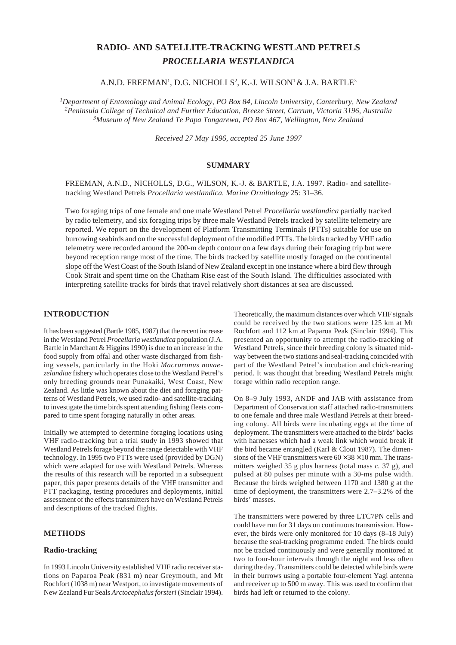# **RADIO- AND SATELLITE-TRACKING WESTLAND PETRELS** *PROCELLARIA WESTLANDICA*

A.N.D. FREEMAN<sup>1</sup>, D.G. NICHOLLS<sup>2</sup>, K.-J. WILSON<sup>1</sup> & J.A. BARTLE<sup>3</sup>

*1Department of Entomology and Animal Ecology, PO Box 84, Lincoln University, Canterbury, New Zealand 2Peninsula College of Technical and Further Education, Breeze Street, Carrum, Victoria 3196, Australia 3Museum of New Zealand Te Papa Tongarewa, PO Box 467, Wellington, New Zealand*

*Received 27 May 1996, accepted 25 June 1997*

# **SUMMARY**

FREEMAN, A.N.D., NICHOLLS, D.G., WILSON, K.-J. & BARTLE, J.A. 1997. Radio- and satellitetracking Westland Petrels *Procellaria westlandica. Marine Ornithology* 25: 31–36.

Two foraging trips of one female and one male Westland Petrel *Procellaria westlandica* partially tracked by radio telemetry, and six foraging trips by three male Westland Petrels tracked by satellite telemetry are reported. We report on the development of Platform Transmitting Terminals (PTTs) suitable for use on burrowing seabirds and on the successful deployment of the modified PTTs. The birds tracked by VHF radio telemetry were recorded around the 200-m depth contour on a few days during their foraging trip but were beyond reception range most of the time. The birds tracked by satellite mostly foraged on the continental slope off the West Coast of the South Island of New Zealand except in one instance where a bird flew through Cook Strait and spent time on the Chatham Rise east of the South Island. The difficulties associated with interpreting satellite tracks for birds that travel relatively short distances at sea are discussed.

# **INTRODUCTION**

It has been suggested (Bartle 1985, 1987) that the recent increase in the Westland Petrel *Procellaria westlandica* population (J.A. Bartle in Marchant & Higgins 1990) is due to an increase in the food supply from offal and other waste discharged from fishing vessels, particularly in the Hoki *Macruronus novaezelandiae* fishery which operates close to the Westland Petrel's only breeding grounds near Punakaiki, West Coast, New Zealand. As little was known about the diet and foraging patterns of Westland Petrels, we used radio- and satellite-tracking to investigate the time birds spent attending fishing fleets compared to time spent foraging naturally in other areas.

Initially we attempted to determine foraging locations using VHF radio-tracking but a trial study in 1993 showed that Westland Petrels forage beyond the range detectable with VHF technology. In 1995 two PTTs were used (provided by DGN) which were adapted for use with Westland Petrels. Whereas the results of this research will be reported in a subsequent paper, this paper presents details of the VHF transmitter and PTT packaging, testing procedures and deployments, initial assessment of the effects transmitters have on Westland Petrels and descriptions of the tracked flights.

# **METHODS**

## **Radio-tracking**

In 1993 Lincoln University established VHF radio receiver stations on Paparoa Peak (831 m) near Greymouth, and Mt Rochfort (1038 m) near Westport, to investigate movements of New Zealand Fur Seals *Arctocephalus forsteri* (Sinclair 1994).

Theoretically, the maximum distances over which VHF signals could be received by the two stations were 125 km at Mt Rochfort and 112 km at Paparoa Peak (Sinclair 1994). This presented an opportunity to attempt the radio-tracking of Westland Petrels, since their breeding colony is situated midway between the two stations and seal-tracking coincided with part of the Westland Petrel's incubation and chick-rearing period. It was thought that breeding Westland Petrels might forage within radio reception range.

On 8–9 July 1993, ANDF and JAB with assistance from Department of Conservation staff attached radio-transmitters to one female and three male Westland Petrels at their breeding colony. All birds were incubating eggs at the time of deployment. The transmitters were attached to the birds' backs with harnesses which had a weak link which would break if the bird became entangled (Karl & Clout 1987). The dimensions of the VHF transmitters were  $60 \times 38 \times 10$  mm. The transmitters weighed 35 g plus harness (total mass *c.* 37 g), and pulsed at 80 pulses per minute with a 30-ms pulse width. Because the birds weighed between 1170 and 1380 g at the time of deployment, the transmitters were 2.7–3.2% of the birds' masses.

The transmitters were powered by three LTC7PN cells and could have run for 31 days on continuous transmission. However, the birds were only monitored for 10 days (8–18 July) because the seal-tracking programme ended. The birds could not be tracked continuously and were generally monitored at two to four-hour intervals through the night and less often during the day. Transmitters could be detected while birds were in their burrows using a portable four-element Yagi antenna and receiver up to 500 m away. This was used to confirm that birds had left or returned to the colony.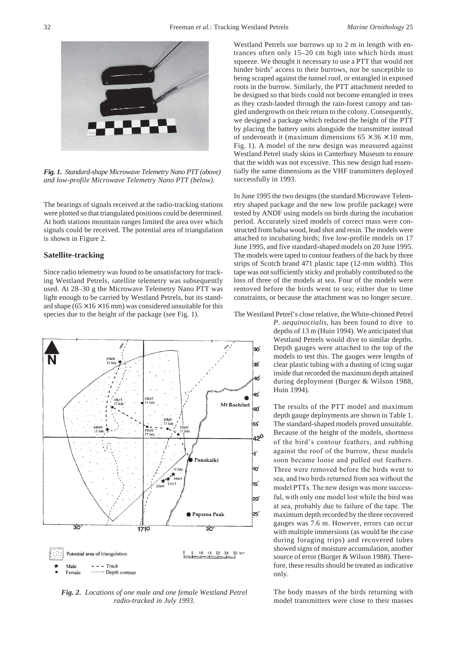

*Fig. 1. Standard-shape Microwave Telemetry Nano PTT (above) and low-profile Microwave Telemetry Nano PTT (below).*

The bearings of signals received at the radio-tracking stations were plotted so that triangulated positions could be determined. At both stations mountain ranges limited the area over which signals could be received. The potential area of triangulation is shown in Figure 2.

#### **Satellite-tracking**

Since radio telemetry was found to be unsatisfactory for tracking Westland Petrels, satellite telemetry was subsequently used. At 28–30 g the Microwave Telemetry Nano PTT was light enough to be carried by Westland Petrels, but its standard shape  $(65 \times 16 \times 16 \text{ mm})$  was considered unsuitable for this species due to the height of the package (see Fig. 1).



*Fig. 2. Locations of one male and one female Westland Petrel radio-tracked in July 1993.*

Westland Petrels use burrows up to 2 m in length with entrances often only 15–20 cm high into which birds must squeeze. We thought it necessary to use a PTT that would not hinder birds' access to their burrows, nor be susceptible to being scraped against the tunnel roof, or entangled in exposed roots in the burrow. Similarly, the PTT attachment needed to be designed so that birds could not become entangled in trees as they crash-landed through the rain-forest canopy and tangled undergrowth on their return to the colony. Consequently, we designed a package which reduced the height of the PTT by placing the battery units alongside the transmitter instead of underneath it (maximum dimensions  $65 \times 36 \times 10$  mm, Fig. 1). A model of the new design was measured against Westland Petrel study skins in Canterbury Museum to ensure that the width was not excessive. This new design had essentially the same dimensions as the VHF transmitters deployed successfully in 1993.

In June 1995 the two designs (the standard Microwave Telemetry shaped package and the new low profile package) were tested by ANDF using models on birds during the incubation period. Accurately sized models of correct mass were constructed from balsa wood, lead shot and resin. The models were attached to incubating birds; five low-profile models on 17 June 1995, and five standard-shaped models on 20 June 1995. The models were taped to contour feathers of the back by three strips of Scotch brand 471 plastic tape (12-mm width). This tape was not sufficiently sticky and probably contributed to the loss of three of the models at sea. Four of the models were removed before the birds went to sea; either due to time constraints, or because the attachment was no longer secure.

The Westland Petrel's close relative, the White-chinned Petrel

*P. aequinoctialis*, has been found to dive to depths of 13 m (Huin 1994). We anticipated that Westland Petrels would dive to similar depths. Depth gauges were attached to the top of the models to test this. The gauges were lengths of clear plastic tubing with a dusting of icing sugar inside that recorded the maximum depth attained during deployment (Burger & Wilson 1988, Huin 1994).

The results of the PTT model and maximum depth gauge deployments are shown in Table 1. The standard-shaped models proved unsuitable. Because of the height of the models, shortness of the bird's contour feathers, and rubbing against the roof of the burrow, these models soon became loose and pulled out feathers. Three were removed before the birds went to sea, and two birds returned from sea without the model PTTs. The new design was more successful, with only one model lost while the bird was at sea, probably due to failure of the tape. The maximum depth recorded by the three recovered gauges was 7.6 m. However, errors can occur with multiple immersions (as would be the case during foraging trips) and recovered tubes showed signs of moisture accumulation, another source of error (Burger & Wilson 1988). Therefore, these results should be treated as indicative only.

The body masses of the birds returning with model transmitters were close to their masses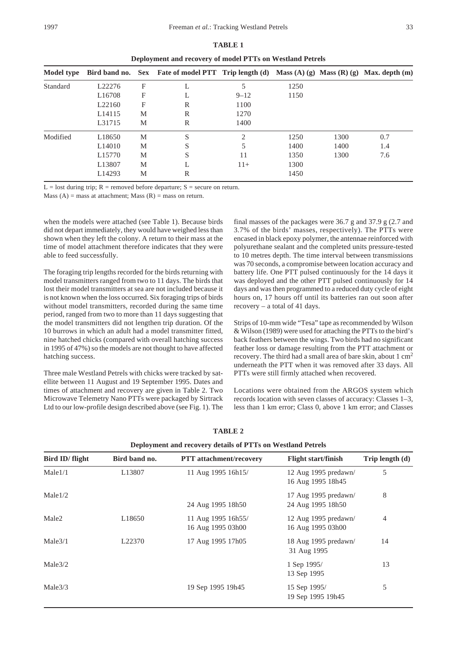| Deployment and recovery of model PTTs on Westland Petrels |                    |   |                                                                                              |                          |      |      |     |  |  |
|-----------------------------------------------------------|--------------------|---|----------------------------------------------------------------------------------------------|--------------------------|------|------|-----|--|--|
| Model type                                                |                    |   | Bird band no. Sex Fate of model PTT Trip length (d) Mass (A) (g) Mass (R) (g) Max. depth (m) |                          |      |      |     |  |  |
| Standard                                                  | L <sub>22276</sub> | F |                                                                                              | 5                        | 1250 |      |     |  |  |
|                                                           | L <sub>16708</sub> | F | L                                                                                            | $9 - 12$                 | 1150 |      |     |  |  |
|                                                           | L22160             | F | R                                                                                            | 1100                     |      |      |     |  |  |
|                                                           | L14115             | M | R                                                                                            | 1270                     |      |      |     |  |  |
|                                                           | L31715             | M | R                                                                                            | 1400                     |      |      |     |  |  |
| Modified                                                  | L18650             | M | S                                                                                            | $\mathfrak{D}_{1}^{(1)}$ | 1250 | 1300 | 0.7 |  |  |
|                                                           | L <sub>14010</sub> | M | S                                                                                            | 5                        | 1400 | 1400 | 1.4 |  |  |
|                                                           | L <sub>15770</sub> | M | S                                                                                            | 11                       | 1350 | 1300 | 7.6 |  |  |
|                                                           | L13807             | M | L                                                                                            | $11+$                    | 1300 |      |     |  |  |
|                                                           | L14293             | M | R                                                                                            |                          | 1450 |      |     |  |  |

|                                                           | <b>TABLE 1</b> |  |  |
|-----------------------------------------------------------|----------------|--|--|
| Deployment and recovery of model PTTs on Westland Petrels |                |  |  |

 $L =$ lost during trip; R = removed before departure; S = secure on return.

Mass  $(A)$  = mass at attachment; Mass  $(R)$  = mass on return.

when the models were attached (see Table 1). Because birds did not depart immediately, they would have weighed less than shown when they left the colony. A return to their mass at the time of model attachment therefore indicates that they were able to feed successfully.

The foraging trip lengths recorded for the birds returning with model transmitters ranged from two to 11 days. The birds that lost their model transmitters at sea are not included because it is not known when the loss occurred. Six foraging trips of birds without model transmitters, recorded during the same time period, ranged from two to more than 11 days suggesting that the model transmitters did not lengthen trip duration. Of the 10 burrows in which an adult had a model transmitter fitted, nine hatched chicks (compared with overall hatching success in 1995 of 47%) so the models are not thought to have affected hatching success.

Three male Westland Petrels with chicks were tracked by satellite between 11 August and 19 September 1995. Dates and times of attachment and recovery are given in Table 2. Two Microwave Telemetry Nano PTTs were packaged by Sirtrack Ltd to our low-profile design described above (see Fig. 1). The

final masses of the packages were 36.7 g and 37.9 g (2.7 and 3.7% of the birds' masses, respectively). The PTTs were encased in black epoxy polymer, the antennae reinforced with polyurethane sealant and the completed units pressure-tested to 10 metres depth. The time interval between transmissions was 70 seconds, a compromise between location accuracy and battery life. One PTT pulsed continuously for the 14 days it was deployed and the other PTT pulsed continuously for 14 days and was then programmed to a reduced duty cycle of eight hours on, 17 hours off until its batteries ran out soon after recovery – a total of 41 days.

Strips of 10-mm wide "Tesa" tape as recommended by Wilson & Wilson (1989) were used for attaching the PTTs to the bird's back feathers between the wings. Two birds had no significant feather loss or damage resulting from the PTT attachment or recovery. The third had a small area of bare skin, about 1 cm<sup>2</sup> underneath the PTT when it was removed after 33 days. All PTTs were still firmly attached when recovered.

Locations were obtained from the ARGOS system which records location with seven classes of accuracy: Classes 1–3, less than 1 km error; Class 0, above 1 km error; and Classes

| Deployment and recovery details of PTTs on Westland Petrels |                    |                                         |                                           |                        |  |  |  |  |
|-------------------------------------------------------------|--------------------|-----------------------------------------|-------------------------------------------|------------------------|--|--|--|--|
| Bird ID/flight                                              | Bird band no.      | <b>PTT</b> attachment/recovery          | <b>Flight start/finish</b>                | Trip length $(d)$<br>5 |  |  |  |  |
| Male1/1                                                     | L13807             | 11 Aug 1995 16h15/                      | 12 Aug 1995 predawn/<br>16 Aug 1995 18h45 |                        |  |  |  |  |
| Male1/2                                                     |                    | 24 Aug 1995 18h50                       | 17 Aug 1995 predawn/<br>24 Aug 1995 18h50 | 8                      |  |  |  |  |
| Male <sub>2</sub>                                           | L <sub>18650</sub> | 11 Aug 1995 16h55/<br>16 Aug 1995 03h00 | 12 Aug 1995 predawn/<br>16 Aug 1995 03h00 | 4                      |  |  |  |  |
| Male3/1                                                     | L <sub>22370</sub> | 17 Aug 1995 17h05                       | 18 Aug 1995 predawn/<br>31 Aug 1995       | 14                     |  |  |  |  |
| Male3/2                                                     |                    |                                         | 1 Sep 1995/<br>13 Sep 1995                | 13                     |  |  |  |  |
| Male3/3                                                     |                    | 19 Sep 1995 19h45                       | 15 Sep 1995/<br>19 Sep 1995 19h45         | 5                      |  |  |  |  |

**TABLE 2**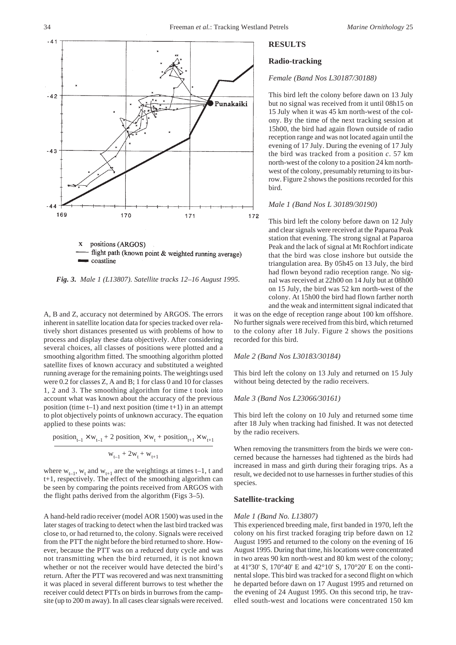



*Fig. 3. Male 1 (L13807). Satellite tracks 12–16 August 1995.*

A, B and Z, accuracy not determined by ARGOS. The errors inherent in satellite location data for species tracked over relatively short distances presented us with problems of how to process and display these data objectively. After considering several choices, all classes of positions were plotted and a smoothing algorithm fitted. The smoothing algorithm plotted satellite fixes of known accuracy and substituted a weighted running average for the remaining points. The weightings used were 0.2 for classes Z, A and B; 1 for class 0 and 10 for classes 1, 2 and 3. The smoothing algorithm for time t took into account what was known about the accuracy of the previous position (time  $t-1$ ) and next position (time  $t+1$ ) in an attempt to plot objectively points of unknown accuracy. The equation applied to these points was:

$$
position_{t-1} \times w_{t-1} + 2 position_t \times w_t + position_{t+1} \times w_{t+1}
$$

$$
\boldsymbol{w}_{t-1} + 2\boldsymbol{w}_t + \boldsymbol{w}_{t+1}
$$

where  $w_{t-1}$ ,  $w_t$  and  $w_{t+1}$  are the weightings at times t-1, t and t+1, respectively. The effect of the smoothing algorithm can be seen by comparing the points received from ARGOS with the flight paths derived from the algorithm (Figs 3–5).

A hand-held radio receiver (model AOR 1500) was used in the later stages of tracking to detect when the last bird tracked was close to, or had returned to, the colony. Signals were received from the PTT the night before the bird returned to shore. However, because the PTT was on a reduced duty cycle and was not transmitting when the bird returned, it is not known whether or not the receiver would have detected the bird's return. After the PTT was recovered and was next transmitting it was placed in several different burrows to test whether the receiver could detect PTTs on birds in burrows from the campsite (up to 200 m away). In all cases clear signals were received.

# **RESULTS**

### **Radio-tracking**

# *Female (Band Nos L30187/30188)*

This bird left the colony before dawn on 13 July but no signal was received from it until 08h15 on 15 July when it was 45 km north-west of the colony. By the time of the next tracking session at 15h00, the bird had again flown outside of radio reception range and was not located again until the evening of 17 July. During the evening of 17 July the bird was tracked from a position *c*. 57 km north-west of the colony to a position 24 km northwest of the colony, presumably returning to its burrow. Figure 2 shows the positions recorded for this bird.

### *Male 1 (Band Nos L 30189/30190)*

This bird left the colony before dawn on 12 July and clear signals were received at the Paparoa Peak station that evening. The strong signal at Paparoa Peak and the lack of signal at Mt Rochfort indicate that the bird was close inshore but outside the triangulation area. By 05h45 on 13 July, the bird had flown beyond radio reception range. No signal was received at 22h00 on 14 July but at 08h00 on 15 July, the bird was 52 km north-west of the colony. At 15h00 the bird had flown farther north and the weak and intermittent signal indicated that

it was on the edge of reception range about 100 km offshore. No further signals were received from this bird, which returned to the colony after 18 July. Figure 2 shows the positions recorded for this bird.

#### *Male 2 (Band Nos L30183/30184)*

This bird left the colony on 13 July and returned on 15 July without being detected by the radio receivers.

#### *Male 3 (Band Nos L23066/30161)*

This bird left the colony on 10 July and returned some time after 18 July when tracking had finished. It was not detected by the radio receivers.

When removing the transmitters from the birds we were concerned because the harnesses had tightened as the birds had increased in mass and girth during their foraging trips. As a result, we decided not to use harnesses in further studies of this species.

### **Satellite-tracking**

#### *Male 1 (Band No. L13807)*

This experienced breeding male, first banded in 1970, left the colony on his first tracked foraging trip before dawn on 12 August 1995 and returned to the colony on the evening of 16 August 1995. During that time, his locations were concentrated in two areas 90 km north-west and 80 km west of the colony; at 41º30' S, 170°40' E and 42°10' S, 170°20' E on the continental slope. This bird was tracked for a second flight on which he departed before dawn on 17 August 1995 and returned on the evening of 24 August 1995. On this second trip, he travelled south-west and locations were concentrated 150 km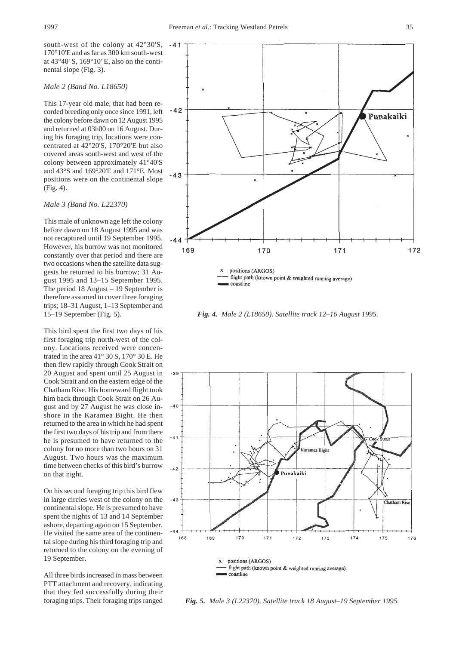south-west of the colony at 42°30'S, 170°10'E and as far as 300 km south-west at 43°40' S, 169°10' E, also on the continental slope (Fig. 3).

### *Male 2 (Band No. L18650)*

This 17-year old male, that had been recorded breeding only once since 1991, left the colony before dawn on 12 August 1995 and returned at 03h00 on 16 August. During his foraging trip, locations were concentrated at 42°20'S, 170°20'E but also covered areas south-west and west of the colony between approximately 41°40'S and 43°S and 169°20'E and 171°E. Most positions were on the continental slope (Fig. 4).

### *Male 3 (Band No. L22370)*

This male of unknown age left the colony before dawn on 18 August 1995 and was not recaptured until 19 September 1995. However, his burrow was not monitored constantly over that period and there are two occasions when the satellite data suggests he returned to his burrow; 31 August 1995 and 13–15 September 1995. The period 18 August – 19 September is therefore assumed to cover three foraging trips; 18–31 August, 1–13 September and 15–19 September (Fig. 5).

This bird spent the first two days of his first foraging trip north-west of the colony. Locations received were concentrated in the area 41° 30 S, 170° 30 E. He then flew rapidly through Cook Strait on 20 August and spent until 25 August in Cook Strait and on the eastern edge of the Chatham Rise. His homeward flight took him back through Cook Strait on 26 August and by 27 August he was close inshore in the Karamea Bight. He then returned to the area in which he had spent the first two days of his trip and from there he is presumed to have returned to the colony for no more than two hours on 31 August. Two hours was the maximum time between checks of this bird's burrow on that night.

On his second foraging trip this bird flew in large circles west of the colony on the continental slope. He is presumed to have spent the nights of 13 and 14 September ashore, departing again on 15 September. He visited the same area of the continental slope during his third foraging trip and returned to the colony on the evening of 19 September.

All three birds increased in mass between PTT attachment and recovery, indicating that they fed successfully during their



*Fig. 4. Male 2 (L18650). Satellite track 12–16 August 1995.*



foraging trips. Their foraging trips ranged *Fig. 5. Male 3 (L22370). Satellite track 18 August–19 September 1995.*